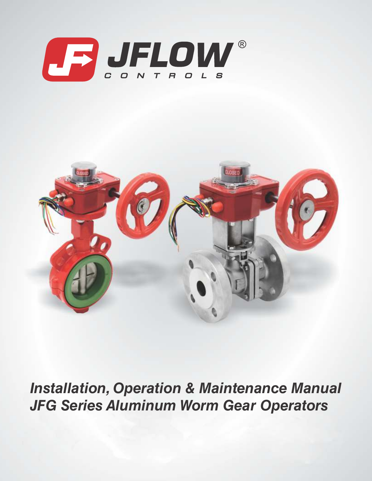



**Installation, Operation & Maintenance Manual JFG Series Aluminum Worm Gear Operators**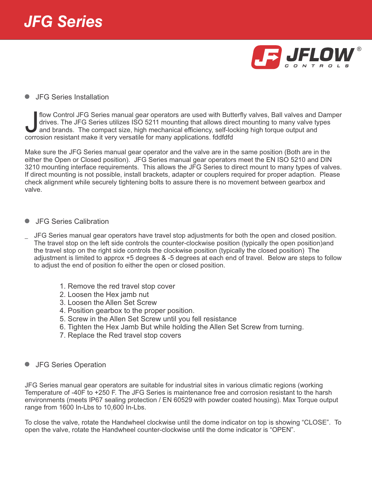

## **• JFG Series Installation**

flow Control JFG Series manual gear operators are used with Butterfly valves, Ball valves and Damper<br>drives. The JFG Series utilizes ISO 5211 mounting that allows direct mounting to many valve types<br>and brands. The compact drives. The JFG Series utilizes ISO 5211 mounting that allows direct mounting to many valve types and brands. The compact size, high mechanical efficiency, self-locking high torque output and corrosion resistant make it very versatile for many applications. fddfdfd

Make sure the JFG Series manual gear operator and the valve are in the same position (Both are in the either the Open or Closed position). JFG Series manual gear operators meet the EN ISO 5210 and DIN 3210 mounting interface requirements. This allows the JFG Series to direct mount to many types of valves. If direct mounting is not possible, install brackets, adapter or couplers required for proper adaption. Please check alignment while securely tightening bolts to assure there is no movement between gearbox and valve.

- JFG Series Calibration
- \_ JFG Series manual gear operators have travel stop adjustments for both the open and closed position. The travel stop on the left side controls the counter-clockwise position (typically the open position)and the travel stop on the right side controls the clockwise position (typically the closed position) The adjustment is limited to approx +5 degrees & -5 degrees at each end of travel. Below are steps to follow to adjust the end of position fo either the open or closed position.
	- 1. Remove the red travel stop cover
	- 2. Loosen the Hex jamb nut
	- 3. Loosen the Allen Set Screw
	- 4. Position gearbox to the proper position.
	- 5. Screw in the Allen Set Screw until you fell resistance
	- 6. Tighten the Hex Jamb But while holding the Allen Set Screw from turning.
	- 7. Replace the Red travel stop covers
- JFG Series Operation

JFG Series manual gear operators are suitable for industrial sites in various climatic regions (working Temperature of -40F to +250 F. The JFG Series is maintenance free and corrosion resistant to the harsh environments (meets IP67 sealing protection / EN 60529 with powder coated housing). Max Torque output range from 1600 In-Lbs to 10,600 In-Lbs.

To close the valve, rotate the Handwheel clockwise until the dome indicator on top is showing "CLOSE". To open the valve, rotate the Handwheel counter-clockwise until the dome indicator is "OPEN".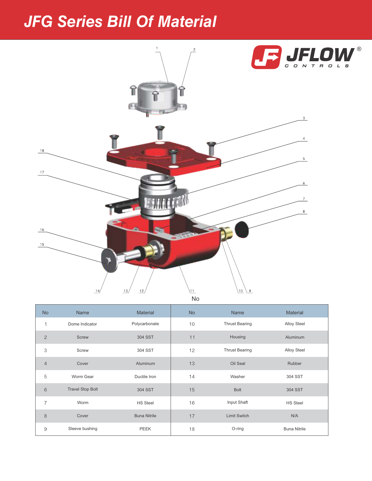## **JFG Series Bill Of Material**





No

| <b>No</b>      | <b>Name</b>             | <b>Material</b>     | <b>No</b> | <b>Name</b>           | <b>Material</b>     |
|----------------|-------------------------|---------------------|-----------|-----------------------|---------------------|
|                | Dome Indicator          | Polycarbonate       | 10        | <b>Thrust Bearing</b> | <b>Alloy Steel</b>  |
| $\overline{c}$ | Screw                   | 304 SST             | 11        | Housing               | <b>Aluminum</b>     |
| 3              | Screw                   | 304 SST             | 12        | <b>Thrust Bearing</b> | Alloy Steel         |
| $\overline{4}$ | Cover                   | Aluminum            | 13        | Oil Seal              | Rubber              |
| 5              | Worm Gear               | Ductile Iron        | 14        | Washer                | 304 SST             |
| 6              | <b>Travel Stop Bolt</b> | 304 SST             | 15        | <b>Bolt</b>           | <b>304 SST</b>      |
| $\overline{7}$ | Worm                    | <b>HS Steel</b>     | 16        | Input Shaft           | <b>HS Steel</b>     |
| 8              | Cover                   | <b>Buna Nitrile</b> | 17        | <b>Limit Switch</b>   | N/A                 |
| 9              | Sleeve bushing          | PEEK                | 18        | O-ring                | <b>Buna Nitrile</b> |